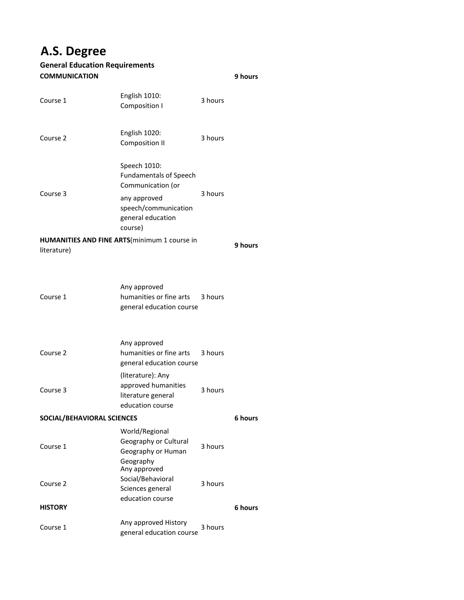# **A.S. Degree**

# **General Education Requirements COMMUNICATION**

| Course 1                                                    | English 1010:<br>Composition I                                                                                                             | 3 hours |         |
|-------------------------------------------------------------|--------------------------------------------------------------------------------------------------------------------------------------------|---------|---------|
| Course 2                                                    | English 1020:<br><b>Composition II</b>                                                                                                     | 3 hours |         |
| Course 3                                                    | Speech 1010:<br><b>Fundamentals of Speech</b><br>Communication (or<br>any approved<br>speech/communication<br>general education<br>course) | 3 hours |         |
| HUMANITIES AND FINE ARTS(minimum 1 course in<br>literature) |                                                                                                                                            |         |         |
| Course 1                                                    | Any approved<br>humanities or fine arts 3 hours<br>general education course                                                                |         |         |
| Course 2                                                    | Any approved<br>humanities or fine arts<br>general education course                                                                        | 3 hours |         |
| Course 3                                                    | (literature): Any<br>approved humanities<br>literature general<br>education course                                                         | 3 hours |         |
| SOCIAL/BEHAVIORAL SCIENCES                                  |                                                                                                                                            |         |         |
| Course 1                                                    | World/Regional<br>Geography or Cultural<br>Geography or Human<br>Geography                                                                 | 3 hours |         |
| Course 2                                                    | Any approved<br>Social/Behavioral<br>Sciences general<br>education course                                                                  | 3 hours |         |
| <b>HISTORY</b>                                              |                                                                                                                                            |         | 6 hours |
| Course 1                                                    | Any approved History<br>general education course                                                                                           | 3 hours |         |

**9 hours**